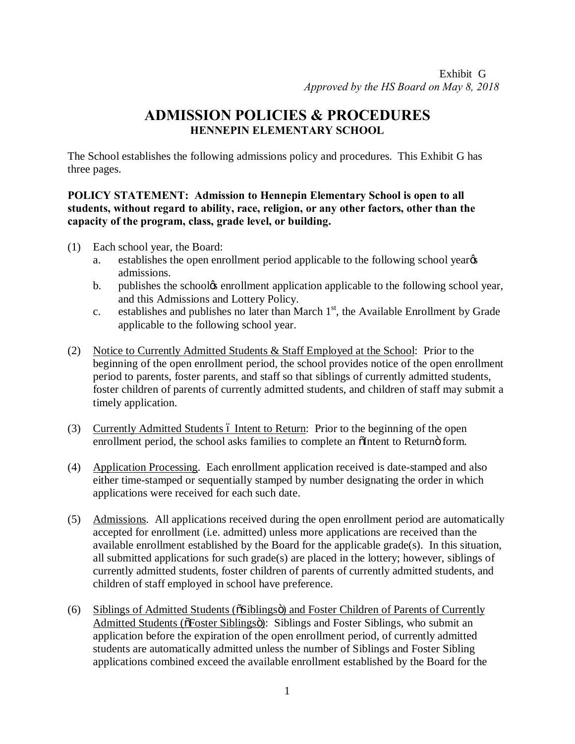## **ADMISSION POLICIES & PROCEDURES HENNEPIN ELEMENTARY SCHOOL**

The School establishes the following admissions policy and procedures. This Exhibit G has three pages.

## **POLICY STATEMENT: Admission to Hennepin Elementary School is open to all students, without regard to ability, race, religion, or any other factors, other than the capacity of the program, class, grade level, or building.**

- (1) Each school year, the Board:
	- a. establishes the open enrollment period applicable to the following school year  $\alpha$ admissions.
	- b. publishes the schoolg enrollment application applicable to the following school year, and this Admissions and Lottery Policy.
	- c. establishes and publishes no later than March  $1<sup>st</sup>$ , the Available Enrollment by Grade applicable to the following school year.
- (2) Notice to Currently Admitted Students & Staff Employed at the School: Prior to the beginning of the open enrollment period, the school provides notice of the open enrollment period to parents, foster parents, and staff so that siblings of currently admitted students, foster children of parents of currently admitted students, and children of staff may submit a timely application.
- (3) Currently Admitted Students 6 Intent to Return: Prior to the beginning of the open enrollment period, the school asks families to complete an other to Return of form.
- (4) Application Processing. Each enrollment application received is date-stamped and also either time-stamped or sequentially stamped by number designating the order in which applications were received for each such date.
- (5) Admissions. All applications received during the open enrollment period are automatically accepted for enrollment (i.e. admitted) unless more applications are received than the available enrollment established by the Board for the applicable grade(s). In this situation, all submitted applications for such grade(s) are placed in the lottery; however, siblings of currently admitted students, foster children of parents of currently admitted students, and children of staff employed in school have preference.
- $(6)$  Siblings of Admitted Students ( $\delta$ Siblings $\ddot{\text{o}}$ ) and Foster Children of Parents of Currently Admitted Students ( $\delta$ Foster Siblings $\ddot{\text{o}}$ ): Siblings and Foster Siblings, who submit an application before the expiration of the open enrollment period, of currently admitted students are automatically admitted unless the number of Siblings and Foster Sibling applications combined exceed the available enrollment established by the Board for the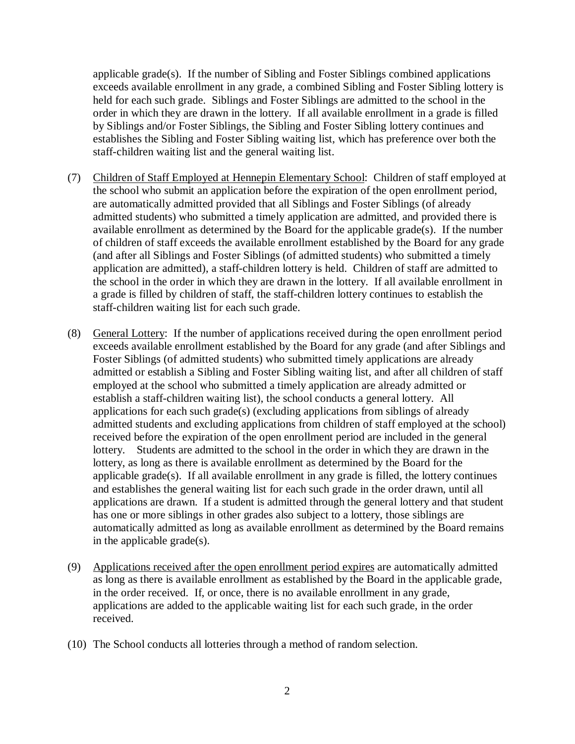applicable grade(s). If the number of Sibling and Foster Siblings combined applications exceeds available enrollment in any grade, a combined Sibling and Foster Sibling lottery is held for each such grade. Siblings and Foster Siblings are admitted to the school in the order in which they are drawn in the lottery. If all available enrollment in a grade is filled by Siblings and/or Foster Siblings, the Sibling and Foster Sibling lottery continues and establishes the Sibling and Foster Sibling waiting list, which has preference over both the staff-children waiting list and the general waiting list.

- (7) Children of Staff Employed at Hennepin Elementary School: Children of staff employed at the school who submit an application before the expiration of the open enrollment period, are automatically admitted provided that all Siblings and Foster Siblings (of already admitted students) who submitted a timely application are admitted, and provided there is available enrollment as determined by the Board for the applicable grade(s). If the number of children of staff exceeds the available enrollment established by the Board for any grade (and after all Siblings and Foster Siblings (of admitted students) who submitted a timely application are admitted), a staff-children lottery is held. Children of staff are admitted to the school in the order in which they are drawn in the lottery. If all available enrollment in a grade is filled by children of staff, the staff-children lottery continues to establish the staff-children waiting list for each such grade.
- (8) General Lottery: If the number of applications received during the open enrollment period exceeds available enrollment established by the Board for any grade (and after Siblings and Foster Siblings (of admitted students) who submitted timely applications are already admitted or establish a Sibling and Foster Sibling waiting list, and after all children of staff employed at the school who submitted a timely application are already admitted or establish a staff-children waiting list), the school conducts a general lottery. All applications for each such grade(s) (excluding applications from siblings of already admitted students and excluding applications from children of staff employed at the school) received before the expiration of the open enrollment period are included in the general lottery. Students are admitted to the school in the order in which they are drawn in the lottery, as long as there is available enrollment as determined by the Board for the applicable grade(s). If all available enrollment in any grade is filled, the lottery continues and establishes the general waiting list for each such grade in the order drawn, until all applications are drawn. If a student is admitted through the general lottery and that student has one or more siblings in other grades also subject to a lottery, those siblings are automatically admitted as long as available enrollment as determined by the Board remains in the applicable grade(s).
- (9) Applications received after the open enrollment period expires are automatically admitted as long as there is available enrollment as established by the Board in the applicable grade, in the order received. If, or once, there is no available enrollment in any grade, applications are added to the applicable waiting list for each such grade, in the order received.
- (10) The School conducts all lotteries through a method of random selection.